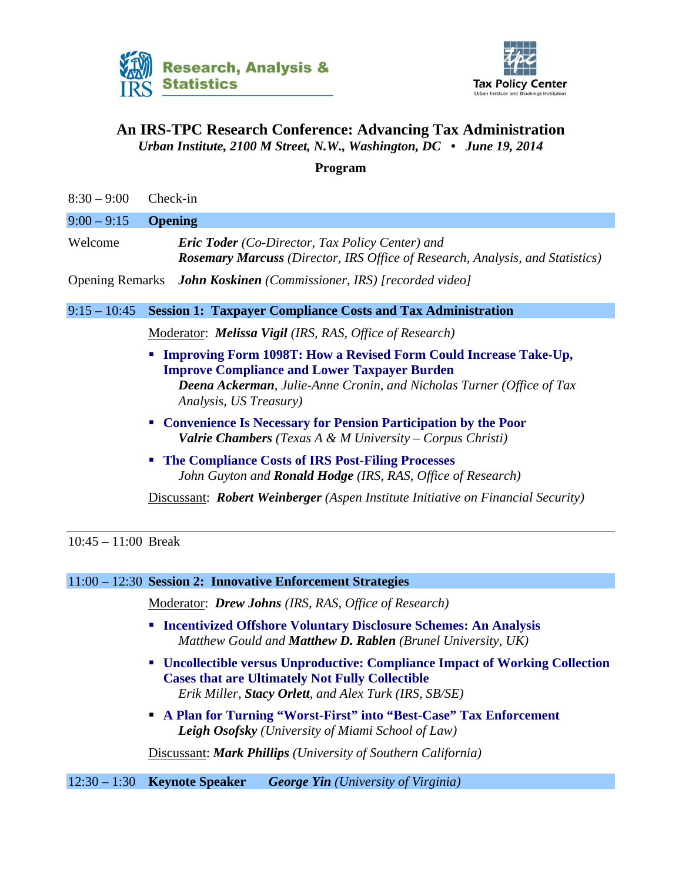



## **An IRS-TPC Research Conference: Advancing Tax Administration**  *Urban Institute, 2100 M Street, N.W., Washington, DC • June 19, 2014*

## **Program**

| $8:30 - 9:00$          | Check-in                                                                                                                                                                                                                                                    |
|------------------------|-------------------------------------------------------------------------------------------------------------------------------------------------------------------------------------------------------------------------------------------------------------|
| $9:00 - 9:15$          | <b>Opening</b>                                                                                                                                                                                                                                              |
| Welcome                | <b>Eric Toder</b> (Co-Director, Tax Policy Center) and<br><b>Rosemary Marcuss</b> (Director, IRS Office of Research, Analysis, and Statistics)                                                                                                              |
| <b>Opening Remarks</b> | <b>John Koskinen</b> (Commissioner, IRS) [recorded video]                                                                                                                                                                                                   |
| $9:15 - 10:45$         | <b>Session 1: Taxpayer Compliance Costs and Tax Administration</b>                                                                                                                                                                                          |
|                        | Moderator: <i>Melissa Vigil</i> (IRS, RAS, Office of Research)                                                                                                                                                                                              |
|                        | <b>Improving Form 1098T: How a Revised Form Could Increase Take-Up,</b><br>$\blacksquare$<br><b>Improve Compliance and Lower Taxpayer Burden</b><br><b>Deena Ackerman</b> , Julie-Anne Cronin, and Nicholas Turner (Office of Tax<br>Analysis, US Treasury) |
|                        | • Convenience Is Necessary for Pension Participation by the Poor<br><b>Valrie Chambers</b> (Texas A & M University – Corpus Christi)                                                                                                                        |
|                        | The Compliance Costs of IRS Post-Filing Processes<br>$\blacksquare$<br>John Guyton and Ronald Hodge (IRS, RAS, Office of Research)                                                                                                                          |
|                        | Discussant: Robert Weinberger (Aspen Institute Initiative on Financial Security)                                                                                                                                                                            |
| $10:45 - 11:00$ Break  |                                                                                                                                                                                                                                                             |
|                        | 11:00 - 12:30 Session 2: Innovative Enforcement Strategies                                                                                                                                                                                                  |
|                        | <b>Moderator: Drew Johns (IRS, RAS, Office of Research)</b>                                                                                                                                                                                                 |
|                        | <b>Incentivized Offshore Voluntary Disclosure Schemes: An Analysis</b><br>ш<br>Matthew Gould and Matthew D. Rablen (Brunel University, UK)                                                                                                                  |
|                        | <b>Uncollectible versus Unproductive: Compliance Impact of Working Collection</b><br>ш<br><b>Cases that are Ultimately Not Fully Collectible</b><br>Erik Miller, Stacy Orlett, and Alex Turk (IRS, SB/SE)                                                   |
|                        | A Plan for Turning "Worst-First" into "Best-Case" Tax Enforcement<br>п<br><b>Leigh Osofsky</b> (University of Miami School of Law)                                                                                                                          |
|                        | Discussant: Mark Phillips (University of Southern California)                                                                                                                                                                                               |
| $12:30 - 1:30$         | <b>Keynote Speaker</b><br><b>George Yin</b> (University of Virginia)                                                                                                                                                                                        |
|                        |                                                                                                                                                                                                                                                             |